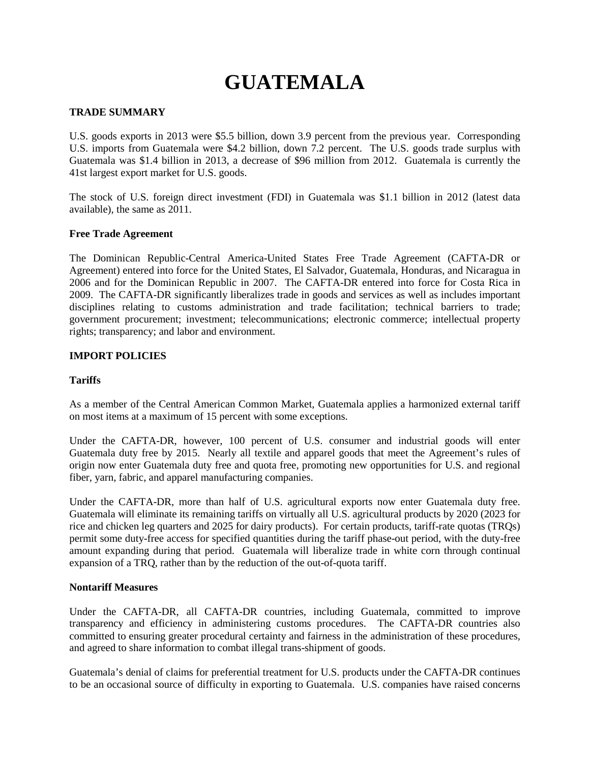# **GUATEMALA**

# **TRADE SUMMARY**

U.S. goods exports in 2013 were \$5.5 billion, down 3.9 percent from the previous year. Corresponding U.S. imports from Guatemala were \$4.2 billion, down 7.2 percent. The U.S. goods trade surplus with Guatemala was \$1.4 billion in 2013, a decrease of \$96 million from 2012. Guatemala is currently the 41st largest export market for U.S. goods.

The stock of U.S. foreign direct investment (FDI) in Guatemala was \$1.1 billion in 2012 (latest data available), the same as 2011.

### **Free Trade Agreement**

The Dominican Republic-Central America-United States Free Trade Agreement (CAFTA-DR or Agreement) entered into force for the United States, El Salvador, Guatemala, Honduras, and Nicaragua in 2006 and for the Dominican Republic in 2007. The CAFTA-DR entered into force for Costa Rica in 2009. The CAFTA-DR significantly liberalizes trade in goods and services as well as includes important disciplines relating to customs administration and trade facilitation; technical barriers to trade; government procurement; investment; telecommunications; electronic commerce; intellectual property rights; transparency; and labor and environment.

# **IMPORT POLICIES**

### **Tariffs**

As a member of the Central American Common Market, Guatemala applies a harmonized external tariff on most items at a maximum of 15 percent with some exceptions.

Under the CAFTA-DR, however, 100 percent of U.S. consumer and industrial goods will enter Guatemala duty free by 2015. Nearly all textile and apparel goods that meet the Agreement's rules of origin now enter Guatemala duty free and quota free, promoting new opportunities for U.S. and regional fiber, yarn, fabric, and apparel manufacturing companies.

Under the CAFTA-DR, more than half of U.S. agricultural exports now enter Guatemala duty free. Guatemala will eliminate its remaining tariffs on virtually all U.S. agricultural products by 2020 (2023 for rice and chicken leg quarters and 2025 for dairy products). For certain products, tariff-rate quotas (TRQs) permit some duty-free access for specified quantities during the tariff phase-out period, with the duty-free amount expanding during that period. Guatemala will liberalize trade in white corn through continual expansion of a TRQ, rather than by the reduction of the out-of-quota tariff.

### **Nontariff Measures**

Under the CAFTA-DR, all CAFTA-DR countries, including Guatemala, committed to improve transparency and efficiency in administering customs procedures. The CAFTA-DR countries also committed to ensuring greater procedural certainty and fairness in the administration of these procedures, and agreed to share information to combat illegal trans-shipment of goods.

Guatemala's denial of claims for preferential treatment for U.S. products under the CAFTA-DR continues to be an occasional source of difficulty in exporting to Guatemala. U.S. companies have raised concerns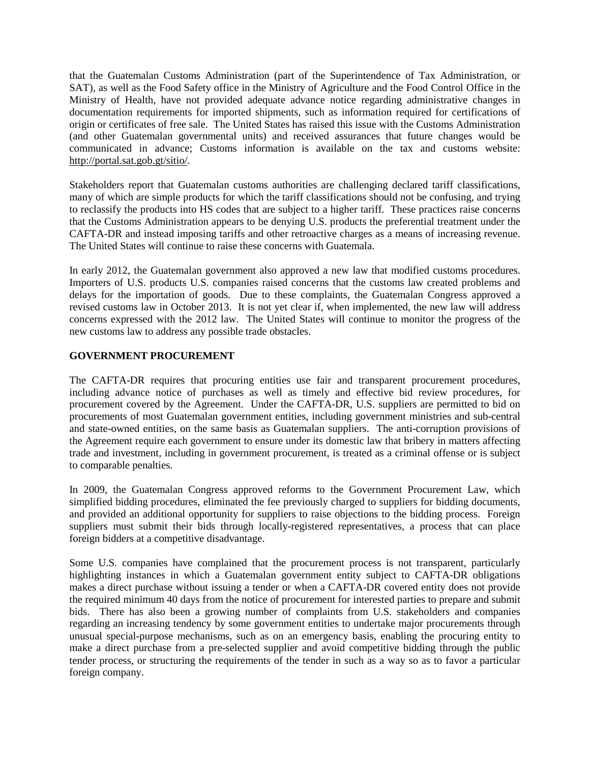that the Guatemalan Customs Administration (part of the Superintendence of Tax Administration, or SAT), as well as the Food Safety office in the Ministry of Agriculture and the Food Control Office in the Ministry of Health, have not provided adequate advance notice regarding administrative changes in documentation requirements for imported shipments, such as information required for certifications of origin or certificates of free sale. The United States has raised this issue with the Customs Administration (and other Guatemalan governmental units) and received assurances that future changes would be communicated in advance; Customs information is available on the tax and customs website: [http://portal.sat.gob.gt/sitio/.](http://portal.sat.gob.gt/sitio/)

Stakeholders report that Guatemalan customs authorities are challenging declared tariff classifications, many of which are simple products for which the tariff classifications should not be confusing, and trying to reclassify the products into HS codes that are subject to a higher tariff. These practices raise concerns that the Customs Administration appears to be denying U.S. products the preferential treatment under the CAFTA-DR and instead imposing tariffs and other retroactive charges as a means of increasing revenue. The United States will continue to raise these concerns with Guatemala.

In early 2012, the Guatemalan government also approved a new law that modified customs procedures. Importers of U.S. products U.S. companies raised concerns that the customs law created problems and delays for the importation of goods. Due to these complaints, the Guatemalan Congress approved a revised customs law in October 2013. It is not yet clear if, when implemented, the new law will address concerns expressed with the 2012 law. The United States will continue to monitor the progress of the new customs law to address any possible trade obstacles.

# **GOVERNMENT PROCUREMENT**

The CAFTA-DR requires that procuring entities use fair and transparent procurement procedures, including advance notice of purchases as well as timely and effective bid review procedures, for procurement covered by the Agreement. Under the CAFTA-DR, U.S. suppliers are permitted to bid on procurements of most Guatemalan government entities, including government ministries and sub-central and state-owned entities, on the same basis as Guatemalan suppliers. The anti-corruption provisions of the Agreement require each government to ensure under its domestic law that bribery in matters affecting trade and investment, including in government procurement, is treated as a criminal offense or is subject to comparable penalties.

In 2009, the Guatemalan Congress approved reforms to the Government Procurement Law, which simplified bidding procedures, eliminated the fee previously charged to suppliers for bidding documents, and provided an additional opportunity for suppliers to raise objections to the bidding process. Foreign suppliers must submit their bids through locally-registered representatives, a process that can place foreign bidders at a competitive disadvantage.

Some U.S. companies have complained that the procurement process is not transparent, particularly highlighting instances in which a Guatemalan government entity subject to CAFTA-DR obligations makes a direct purchase without issuing a tender or when a CAFTA-DR covered entity does not provide the required minimum 40 days from the notice of procurement for interested parties to prepare and submit bids. There has also been a growing number of complaints from U.S. stakeholders and companies regarding an increasing tendency by some government entities to undertake major procurements through unusual special-purpose mechanisms, such as on an emergency basis, enabling the procuring entity to make a direct purchase from a pre-selected supplier and avoid competitive bidding through the public tender process, or structuring the requirements of the tender in such as a way so as to favor a particular foreign company.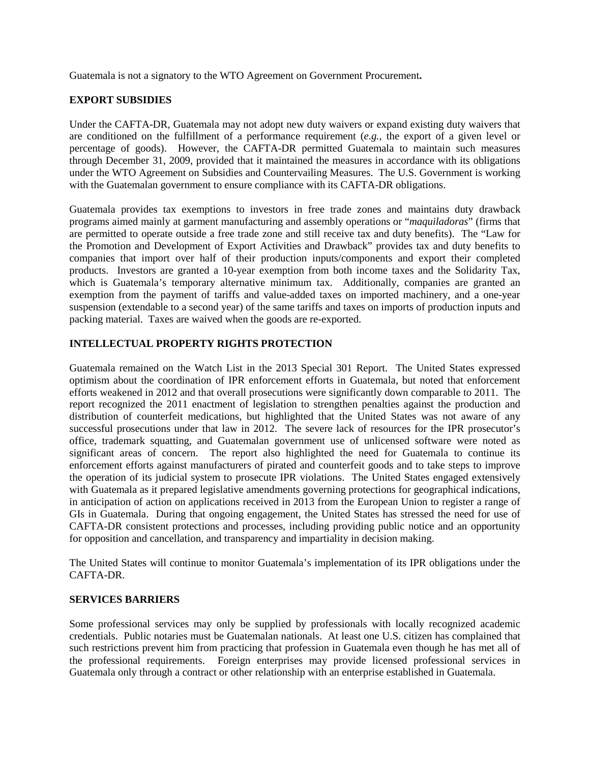Guatemala is not a signatory to the WTO Agreement on Government Procurement**.** 

# **EXPORT SUBSIDIES**

Under the CAFTA-DR, Guatemala may not adopt new duty waivers or expand existing duty waivers that are conditioned on the fulfillment of a performance requirement (*e.g.*, the export of a given level or percentage of goods). However, the CAFTA-DR permitted Guatemala to maintain such measures through December 31, 2009, provided that it maintained the measures in accordance with its obligations under the WTO Agreement on Subsidies and Countervailing Measures. The U.S. Government is working with the Guatemalan government to ensure compliance with its CAFTA-DR obligations.

Guatemala provides tax exemptions to investors in free trade zones and maintains duty drawback programs aimed mainly at garment manufacturing and assembly operations or "*maquiladoras*" (firms that are permitted to operate outside a free trade zone and still receive tax and duty benefits). The "Law for the Promotion and Development of Export Activities and Drawback" provides tax and duty benefits to companies that import over half of their production inputs/components and export their completed products. Investors are granted a 10-year exemption from both income taxes and the Solidarity Tax, which is Guatemala's temporary alternative minimum tax. Additionally, companies are granted an exemption from the payment of tariffs and value-added taxes on imported machinery, and a one-year suspension (extendable to a second year) of the same tariffs and taxes on imports of production inputs and packing material. Taxes are waived when the goods are re-exported.

# **INTELLECTUAL PROPERTY RIGHTS PROTECTION**

Guatemala remained on the Watch List in the 2013 Special 301 Report. The United States expressed optimism about the coordination of IPR enforcement efforts in Guatemala, but noted that enforcement efforts weakened in 2012 and that overall prosecutions were significantly down comparable to 2011. The report recognized the 2011 enactment of legislation to strengthen penalties against the production and distribution of counterfeit medications, but highlighted that the United States was not aware of any successful prosecutions under that law in 2012. The severe lack of resources for the IPR prosecutor's office, trademark squatting, and Guatemalan government use of unlicensed software were noted as significant areas of concern. The report also highlighted the need for Guatemala to continue its enforcement efforts against manufacturers of pirated and counterfeit goods and to take steps to improve the operation of its judicial system to prosecute IPR violations. The United States engaged extensively with Guatemala as it prepared legislative amendments governing protections for geographical indications, in anticipation of action on applications received in 2013 from the European Union to register a range of GIs in Guatemala. During that ongoing engagement, the United States has stressed the need for use of CAFTA-DR consistent protections and processes, including providing public notice and an opportunity for opposition and cancellation, and transparency and impartiality in decision making.

The United States will continue to monitor Guatemala's implementation of its IPR obligations under the CAFTA-DR.

#### **SERVICES BARRIERS**

Some professional services may only be supplied by professionals with locally recognized academic credentials. Public notaries must be Guatemalan nationals. At least one U.S. citizen has complained that such restrictions prevent him from practicing that profession in Guatemala even though he has met all of the professional requirements. Foreign enterprises may provide licensed professional services in Guatemala only through a contract or other relationship with an enterprise established in Guatemala.